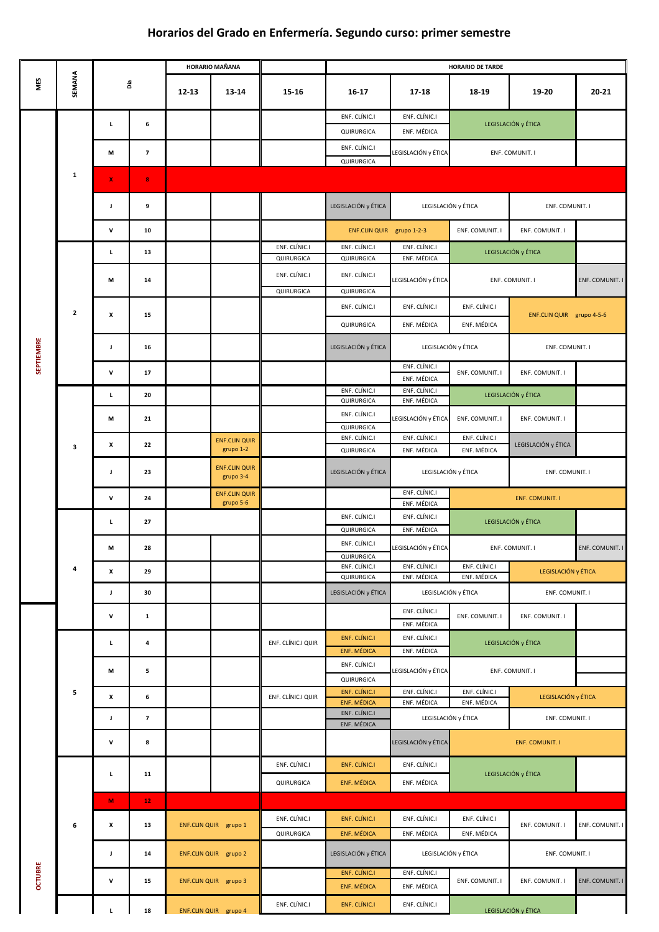## **Horarios del Grado en Enfermería. Segundo curso: primer semestre**

|                   |                | Ъíа                |                         | <b>HORARIO MAÑANA</b> |                                   |                             | <b>HORARIO DE TARDE</b>                    |                                                              |                                                 |                           |                 |  |  |  |
|-------------------|----------------|--------------------|-------------------------|-----------------------|-----------------------------------|-----------------------------|--------------------------------------------|--------------------------------------------------------------|-------------------------------------------------|---------------------------|-----------------|--|--|--|
| MES               | SEMANA         |                    |                         | $12 - 13$             | 13-14                             | 15-16                       | $16-17$                                    | $17 - 18$                                                    | 18-19                                           | 19-20                     | $20 - 21$       |  |  |  |
|                   | $\mathbf{1}$   | L                  | 6                       |                       |                                   |                             | ENF. CLÍNIC.I                              | ENF. CLÍNIC.I                                                |                                                 | LEGISLACIÓN y ÉTICA       |                 |  |  |  |
|                   |                |                    |                         |                       |                                   |                             | QUIRURGICA                                 | ENF. MÉDICA                                                  |                                                 |                           |                 |  |  |  |
|                   |                | M                  | $\overline{\mathbf{z}}$ |                       |                                   |                             | ENF. CLÍNIC.I<br>QUIRURGICA                | LEGISLACIÓN y ÉTICA                                          |                                                 | ENF. COMUNIT. I           |                 |  |  |  |
|                   |                | $\mathbf X$        | $\bf{8}$                |                       |                                   |                             |                                            |                                                              |                                                 |                           |                 |  |  |  |
|                   |                |                    |                         |                       |                                   |                             |                                            |                                                              |                                                 |                           |                 |  |  |  |
|                   |                | J                  | 9                       |                       |                                   |                             | LEGISLACIÓN y ÉTICA                        | LEGISLACIÓN y ÉTICA                                          |                                                 | ENF. COMUNIT. I           |                 |  |  |  |
|                   |                | $\mathbf{V}$       | 10                      |                       |                                   |                             | ENF.CLIN QUIR grupo 1-2-3                  |                                                              | ENF. COMUNIT. I                                 | ENF. COMUNIT. I           |                 |  |  |  |
|                   |                | L                  | 13                      |                       |                                   | ENF. CLÍNIC.I<br>QUIRURGICA | ENF. CLÍNIC.I<br>QUIRURGICA                | ENF. CLÍNIC.I<br>ENF. MÉDICA                                 |                                                 | LEGISLACIÓN y ÉTICA       |                 |  |  |  |
|                   |                | M                  | 14                      |                       |                                   | ENF. CLÍNIC.I               | ENF. CLÍNIC.I                              | LEGISLACIÓN y ÉTICA                                          |                                                 | ENF. COMUNIT. I           | ENF. COMUNIT. I |  |  |  |
|                   |                |                    |                         |                       |                                   | QUIRURGICA                  | QUIRURGICA                                 |                                                              |                                                 |                           |                 |  |  |  |
|                   | $\mathbf{2}$   | $\pmb{\chi}$       | 15                      |                       |                                   |                             | ENF. CLÍNIC.I                              | ENF. CLÍNIC.I                                                | ENF. CLÍNIC.I                                   | ENF.CLIN QUIR grupo 4-5-6 |                 |  |  |  |
|                   |                |                    |                         |                       |                                   |                             | QUIRURGICA                                 | ENF. MÉDICA                                                  | ENF. MÉDICA                                     |                           |                 |  |  |  |
| <b>SEPTIEMBRE</b> |                | J                  | 16                      |                       |                                   |                             | LEGISLACIÓN y ÉTICA                        | LEGISLACIÓN y ÉTICA                                          | ENF. COMUNIT. I                                 |                           |                 |  |  |  |
|                   |                | V                  | 17                      |                       |                                   |                             |                                            | ENF. CLÍNIC.I                                                | ENF. COMUNIT. I<br>ENF. COMUNIT. I              |                           |                 |  |  |  |
|                   |                |                    |                         |                       |                                   |                             | ENF. CLÍNIC.I                              | ENF. MÉDICA<br>ENF. CLÍNIC.I                                 |                                                 | LEGISLACIÓN y ÉTICA       |                 |  |  |  |
|                   | $\mathbf{3}$   | L                  | 20                      |                       |                                   |                             | QUIRURGICA                                 | ENF. MÉDICA                                                  |                                                 |                           |                 |  |  |  |
|                   |                | M                  | 21                      |                       |                                   |                             | ENF. CLÍNIC.I<br>QUIRURGICA                | LEGISLACIÓN y ÉTICA                                          | ENF. COMUNIT. I                                 | ENF. COMUNIT. I           |                 |  |  |  |
|                   |                | $\pmb{\mathsf{X}}$ | 22                      |                       | <b>ENF.CLIN QUIR</b><br>grupo 1-2 |                             | ENF. CLÍNIC.I<br>QUIRURGICA                | ENF. CLÍNIC.I<br>ENF. MÉDICA                                 | ENF. CLÍNIC.I<br>ENF. MÉDICA                    | LEGISLACIÓN y ÉTICA       |                 |  |  |  |
|                   |                | J                  | 23                      |                       | <b>ENF.CLIN QUIR</b><br>grupo 3-4 |                             | LEGISLACIÓN y ÉTICA                        | LEGISLACIÓN y ÉTICA                                          |                                                 | ENF. COMUNIT. I           |                 |  |  |  |
|                   |                |                    |                         |                       | <b>ENF.CLIN QUIR</b>              |                             |                                            | ENF. CLÍNIC.I                                                |                                                 |                           |                 |  |  |  |
|                   |                | $\mathbf{V}$       | 24                      |                       | grupo 5-6                         |                             | ENF. CLÍNIC.I                              | ENF. MÉDICA<br>ENF. CLÍNIC.I                                 |                                                 | <b>ENF. COMUNIT. I</b>    |                 |  |  |  |
|                   | 4              | L                  | 27                      |                       |                                   |                             | QUIRURGICA                                 | ENF. MÉDICA                                                  |                                                 | LEGISLACIÓN y ÉTICA       |                 |  |  |  |
|                   |                | M                  | 28                      |                       |                                   |                             | ENF. CLÍNIC.I<br>QUIRURGICA                | LEGISLACIÓN y ÉTICA                                          |                                                 | ENF. COMUNIT. I           | ENF. COMUNIT. I |  |  |  |
|                   |                | X                  | 29                      |                       |                                   |                             | ENF. CLÍNIC.I<br>QUIRURGICA                | ENF. CLÍNIC.I<br>ENF. MÉDICA                                 | ENF. CLÍNIC.I<br>ENF. MÉDICA                    | LEGISLACIÓN y ÉTICA       |                 |  |  |  |
|                   |                | J                  | 30                      |                       |                                   |                             | LEGISLACIÓN y ÉTICA                        | LEGISLACIÓN y ÉTICA                                          |                                                 | ENF. COMUNIT. I           |                 |  |  |  |
|                   |                | V                  | $\mathbf{1}$            |                       |                                   |                             |                                            | ENF. CLÍNIC.I<br>ENF. MÉDICA                                 | ENF. COMUNIT. I                                 | ENF. COMUNIT. I           |                 |  |  |  |
|                   | 5              | L                  | 4                       |                       |                                   | ENF. CLÍNIC.I QUIR          | <b>ENF. CLÍNIC.I</b>                       | ENF. CLÍNIC.I                                                |                                                 | LEGISLACIÓN y ÉTICA       |                 |  |  |  |
|                   |                |                    |                         |                       |                                   |                             | <b>ENF. MÉDICA</b><br>ENF. CLÍNIC.I        | ENF. MÉDICA                                                  |                                                 |                           |                 |  |  |  |
|                   |                | M                  | 5                       |                       |                                   |                             | QUIRURGICA                                 | LEGISLACIÓN y ÉTICA                                          |                                                 | ENF. COMUNIT. I           |                 |  |  |  |
|                   |                | $\pmb{\mathsf{X}}$ | 6                       |                       |                                   | ENF. CLÍNIC.I QUIR          | <b>ENF. CLÍNIC.I</b><br><b>ENF. MÉDICA</b> | ENF. CLÍNIC.I<br>ENF. CLÍNIC.I<br>ENF. MÉDICA<br>ENF. MÉDICA |                                                 | LEGISLACIÓN y ÉTICA       |                 |  |  |  |
|                   |                | J                  | $\overline{\mathbf{z}}$ |                       |                                   |                             | ENF. CLÍNIC.I                              | LEGISLACIÓN y ÉTICA                                          |                                                 | ENF. COMUNIT. I           |                 |  |  |  |
|                   |                |                    |                         |                       |                                   |                             | ENF. MÉDICA                                |                                                              |                                                 |                           |                 |  |  |  |
|                   |                | $\mathsf{V}$       | 8                       |                       |                                   |                             |                                            | LEGISLACIÓN y ÉTICA                                          |                                                 | <b>ENF. COMUNIT. I</b>    |                 |  |  |  |
|                   |                | L                  | 11                      |                       |                                   | ENF. CLÍNIC.I               | <b>ENF. CLÍNIC.I</b>                       | ENF. CLÍNIC.I                                                |                                                 | LEGISLACIÓN y ÉTICA       |                 |  |  |  |
|                   |                |                    |                         |                       |                                   | QUIRURGICA                  | <b>ENF. MÉDICA</b>                         | ENF. MÉDICA                                                  |                                                 |                           |                 |  |  |  |
|                   | $6\phantom{1}$ | M                  | $121$                   |                       |                                   |                             |                                            |                                                              | ENF. CLÍNIC.I<br>ENF. COMUNIT. I<br>ENF. MÉDICA |                           |                 |  |  |  |
|                   |                | $\pmb{\mathsf{x}}$ | 13                      |                       | ENF.CLIN QUIR grupo 1             | ENF. CLÍNIC.I<br>QUIRURGICA | <b>ENF. CLÍNIC.I</b><br><b>ENF. MÉDICA</b> | ENF. CLÍNIC.I<br>ENF. MÉDICA                                 |                                                 |                           | ENF. COMUNIT. I |  |  |  |
|                   |                | J                  | 14                      |                       | ENF.CLIN QUIR grupo 2             |                             | LEGISLACIÓN y ÉTICA                        |                                                              | LEGISLACIÓN y ÉTICA                             |                           | ENF. COMUNIT. I |  |  |  |
| <b>OCTUBRE</b>    |                | $\mathsf{V}$       | 15                      |                       | ENF.CLIN QUIR grupo 3             |                             | <b>ENF. CLÍNIC.I</b>                       | ENF. CLÍNIC.I                                                | ENF. COMUNIT. I                                 | ENF. COMUNIT. I           | ENF. COMUNIT. I |  |  |  |
|                   |                |                    |                         |                       |                                   |                             | <b>ENF. MÉDICA</b>                         | ENF. MÉDICA                                                  |                                                 |                           |                 |  |  |  |
|                   |                |                    | ${\bf 18}$              | ENF.CLIN QUIR grupo 4 |                                   | ENF. CLÍNIC.I               | <b>ENF. CLÍNIC.I</b>                       | ENF. CLÍNIC.I                                                |                                                 | LEGISLACIÓN y ÉTICA       |                 |  |  |  |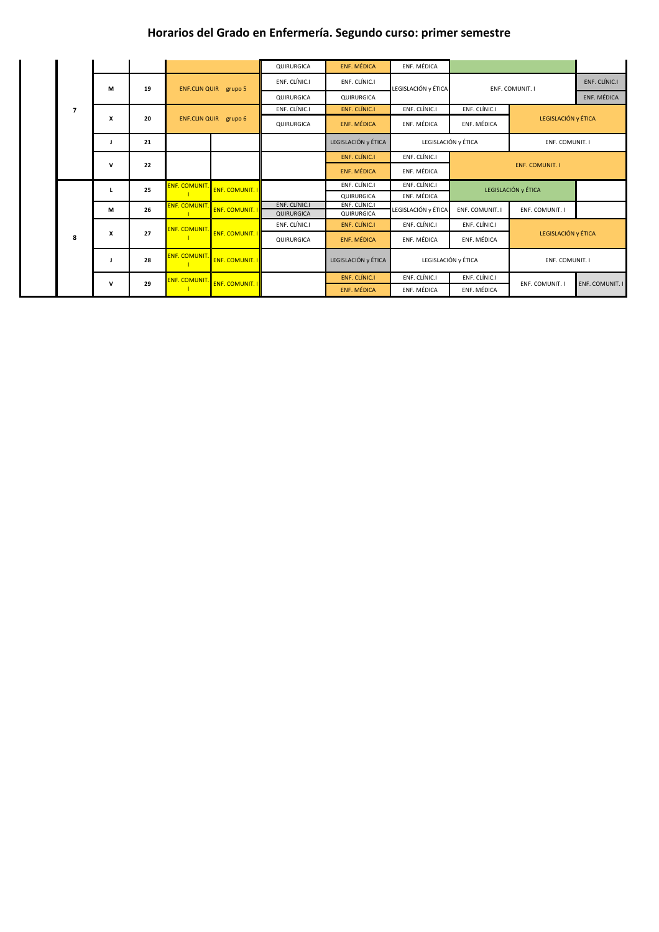## **Horarios del Grado en Enfermería. Segundo curso: primer semestre**

|  |                         |                    |    |                              |                        | QUIRURGICA                  | <b>ENF. MÉDICA</b>          | ENF. MÉDICA         |                     |                        |                        |  |
|--|-------------------------|--------------------|----|------------------------------|------------------------|-----------------------------|-----------------------------|---------------------|---------------------|------------------------|------------------------|--|
|  |                         | M                  | 19 | ENF.CLIN QUIR grupo 5        |                        | ENF. CLÍNIC.I               | ENF. CLÍNIC.I               | LEGISLACIÓN y ÉTICA | ENF. COMUNIT. I     |                        | ENF. CLÍNIC.I          |  |
|  |                         |                    |    |                              |                        | <b>QUIRURGICA</b>           | QUIRURGICA                  |                     |                     |                        | ENF. MÉDICA            |  |
|  | $\overline{\mathbf{z}}$ |                    |    |                              |                        | ENF. CLÍNIC.I               | <b>ENF. CLÍNIC.I</b>        | ENF. CLÍNIC.I       | ENF. CLÍNIC.I       |                        |                        |  |
|  |                         | X                  | 20 | <b>ENF.CLIN QUIR grupo 6</b> |                        | QUIRURGICA                  | ENF. MÉDICA                 | ENF. MÉDICA         | ENF. MÉDICA         | LEGISLACIÓN y ÉTICA    |                        |  |
|  |                         | L                  | 21 |                              |                        |                             | LEGISLACIÓN y ÉTICA         | LEGISLACIÓN y ÉTICA |                     | ENF. COMUNIT. I        |                        |  |
|  |                         |                    |    |                              |                        |                             | ENF. CLÍNIC.I               | ENF. CLÍNIC.I       |                     |                        |                        |  |
|  |                         | $\mathbf v$        | 22 |                              |                        |                             | <b>ENF. MÉDICA</b>          | ENF. MÉDICA         |                     | <b>ENF. COMUNIT. I</b> |                        |  |
|  |                         |                    | 25 | <b>ENF. COMUNIT.</b>         | <b>ENF. COMUNIT. I</b> |                             | ENF. CLÍNIC.I               | ENF. CLÍNIC.I       | LEGISLACIÓN y ÉTICA |                        |                        |  |
|  |                         |                    |    |                              |                        |                             | QUIRURGICA                  | ENF. MÉDICA         |                     |                        |                        |  |
|  |                         | M                  | 26 | <b>ENF. COMUNIT.</b>         | <b>ENF. COMUNIT. I</b> | ENF. CLÍNIC.I<br>QUIRURGICA | ENF. CLÍNIC.I<br>QUIRURGICA | LEGISLACIÓN y ÉTICA | ENF. COMUNIT. I     | ENF. COMUNIT. I        |                        |  |
|  |                         | $\pmb{\mathsf{x}}$ | 27 | <b>ENF. COMUNIT</b>          | <b>ENF. COMUNIT. I</b> | ENF. CLÍNIC.I               | ENF. CLÍNIC.I               | ENF. CLÍNIC.I       | ENF. CLÍNIC.I       |                        |                        |  |
|  | 8                       |                    |    |                              |                        | QUIRURGICA                  | <b>ENF. MÉDICA</b>          | ENF. MÉDICA         | ENF. MÉDICA         | LEGISLACIÓN y ÉTICA    |                        |  |
|  |                         | J                  | 28 | <b>ENF. COMUNIT.</b>         | <b>ENF. COMUNIT. I</b> |                             | LEGISLACIÓN y ÉTICA         | LEGISLACIÓN y ÉTICA |                     | ENF. COMUNIT. I        |                        |  |
|  |                         |                    |    | <b>ENF. COMUNIT.</b>         | <b>ENF. COMUNIT. I</b> |                             | ENF. CLÍNIC.I               | ENF. CLÍNIC.I       | ENF. CLÍNIC.I       |                        |                        |  |
|  |                         | $\mathbf{V}$       | 29 |                              |                        |                             | <b>ENF. MÉDICA</b>          | ENF. MÉDICA         | ENF. MÉDICA         | ENF. COMUNIT. I        | <b>ENF. COMUNIT. I</b> |  |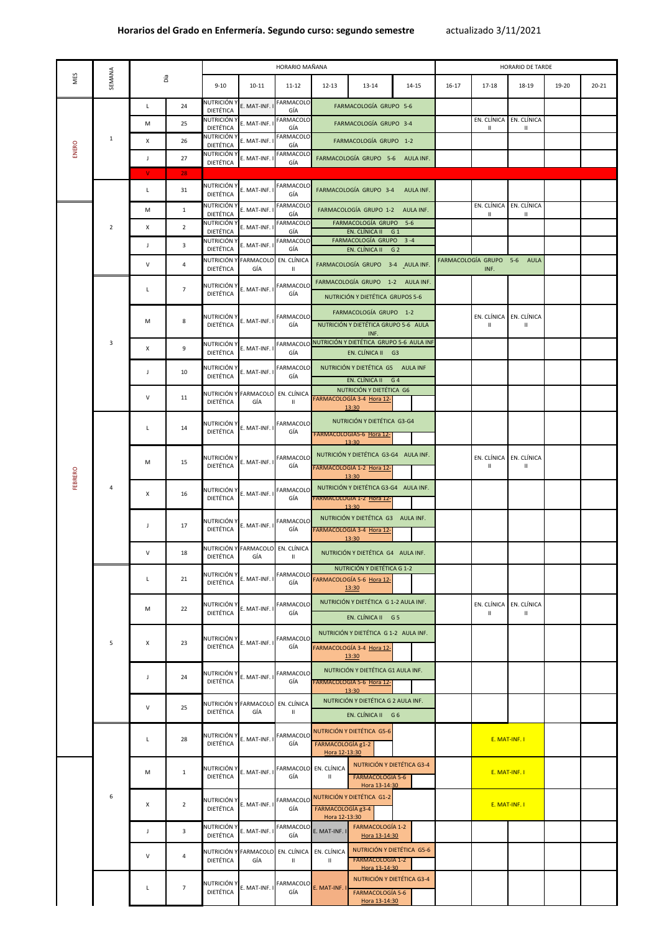|         | SEMANA         | Día          |                | HORARIO MAÑANA                         |               |                                                                        |                                    |                                                                                                       | HORARIO DE TARDE |           |                         |                              |       |           |
|---------|----------------|--------------|----------------|----------------------------------------|---------------|------------------------------------------------------------------------|------------------------------------|-------------------------------------------------------------------------------------------------------|------------------|-----------|-------------------------|------------------------------|-------|-----------|
| NES     |                |              |                | $9 - 10$                               | $10 - 11$     | $11 - 12$                                                              | $12 - 13$                          | $13 - 14$                                                                                             | $14 - 15$        | $16 - 17$ | $17 - 18$               | 18-19                        | 19-20 | $20 - 21$ |
| ENERO   |                | L            | 24             | <b>NUTRICIÓN Y</b><br>DIETÉTICA        | E. MAT-INF. I | <b>FARMACOLO</b><br>GÍA                                                |                                    | FARMACOLOGÍA GRUPO 5-6                                                                                |                  |           |                         |                              |       |           |
|         |                | M            | 25             | <b>NUTRICIÓN Y</b>                     | E. MAT-INF. I | <b>FARMACOLO</b>                                                       |                                    | FARMACOLOGÍA GRUPO 3-4                                                                                |                  |           |                         | EN. CLÍNICA EN. CLÍNICA      |       |           |
|         | $\mathbf{1}$   | X            | 26             | <b>DIETÉTICA</b><br>NUTRICIÓN Y        | E. MAT-INF. I | GÍA<br><b>FARMACOLO</b>                                                |                                    | FARMACOLOGÍA GRUPO 1-2                                                                                |                  |           |                         |                              |       |           |
|         |                |              |                | DIETÉTICA<br><b>NUTRICIÓN Y</b>        |               | GÍA<br><b>FARMACOLO</b>                                                |                                    |                                                                                                       |                  |           |                         |                              |       |           |
|         |                |              | 27             | <b>DIETÉTICA</b>                       | E. MAT-INF. I | GÍA                                                                    |                                    | FARMACOLOGÍA GRUPO 5-6 AULA INF.                                                                      |                  |           |                         |                              |       |           |
|         |                | $\mathbf{V}$ | 28             | NUTRICIÓN Y                            |               | <b>FARMACOLO</b>                                                       |                                    |                                                                                                       |                  |           |                         |                              |       |           |
|         |                | L            | 31             | <b>DIETÉTICA</b>                       | E. MAT-INF. I | GÍA                                                                    |                                    | FARMACOLOGÍA GRUPO 3-4                                                                                | AULA INF.        |           |                         |                              |       |           |
|         |                | M            | $\mathbf{1}$   | NUTRICIÓN Y<br><b>DIETÉTICA</b>        | E. MAT-INF. I | <b>FARMACOLO</b><br>GÍA                                                |                                    | FARMACOLOGÍA GRUPO 1-2 AULA INF.                                                                      |                  |           | EN. CLÍNICA EN. CLÍNICA |                              |       |           |
|         | $\overline{2}$ | X            | $\overline{2}$ | <b>NUTRICIÓN Y</b><br><b>DIETÉTICA</b> | E. MAT-INF. I | <b>FARMACOLO</b><br>GÍA                                                |                                    | FARMACOLOGÍA GRUPO 5-6<br>EN. CLÍNICA II G 1                                                          |                  |           |                         |                              |       |           |
|         |                |              | $\overline{3}$ | <b>NUTRICIÓN Y</b>                     | E. MAT-INF. I | <b>FARMACOLO</b>                                                       |                                    | FARMACOLOGÍA GRUPO 3-4                                                                                |                  |           |                         |                              |       |           |
|         |                |              |                | <b>DIETÉTICA</b>                       |               | GÍA<br>NUTRICIÓN Y FARMACOLO EN. CLÍNICA                               |                                    | EN. CLÍNICA II G 2                                                                                    |                  |           | FARMACOLOGÍA GRUPO 5-6  | <b>AULA</b>                  |       |           |
|         |                | $\mathsf{V}$ | 4              | DIETÉTICA                              | GÍA           | $\mathbf{II}$                                                          |                                    | FARMACOLOGÍA GRUPO 3-4 AULA INF.                                                                      |                  |           | INF.                    |                              |       |           |
|         |                | L            | $\overline{7}$ | NUTRICIÓN Y<br><b>DIETÉTICA</b>        | E. MAT-INF. I | FARMACOLO<br>GÍA                                                       |                                    | FARMACOLOGÍA GRUPO 1-2 AULA INF.<br>NUTRICIÓN Y DIETÉTICA GRUPOS 5-6                                  |                  |           |                         |                              |       |           |
|         |                | M            | 8              | <b>DIETÉTICA</b>                       |               | NUTRICIÓN Y E. MAT-INF. I FARMACOLO<br>GÍA                             |                                    | FARMACOLOGÍA GRUPO 1-2<br>NUTRICIÓN Y DIETÉTICA GRUPO 5-6 AULA<br>INF.                                |                  |           |                         | EN. CLÍNICA EN. CLÍNICA      |       |           |
|         | 3              | X            | 9              | <b>NUTRICIÓN Y</b><br>DIETÉTICA        | E. MAT-INF. I | GÍA                                                                    |                                    | FARMACOLO NUTRICIÓN Y DIETÉTICA GRUPO 5-6 AULA INF<br>EN. CLÍNICA II G3                               |                  |           |                         |                              |       |           |
|         |                | J.           | 10             | NUTRICIÓN Y<br><b>DIETÉTICA</b>        | E. MAT-INF. I | <b>FARMACOLO</b><br>GÍA                                                |                                    | NUTRICIÓN Y DIETÉTICA G5 AULA INF<br>EN. CLÍNICA II G 4                                               |                  |           |                         |                              |       |           |
|         |                | $\vee$       | 11             | <b>DIETÉTICA</b>                       | GÍA           | NUTRICIÓN Y FARMACOLO EN. CLÍNICA<br>$\mathbf{II}$                     |                                    | NUTRICIÓN Y DIETÉTICA G6<br>FARMACOLOGÍA 3-4 Hora 12-<br>13:30                                        |                  |           |                         |                              |       |           |
|         | 4              | L            | 14             | <b>NUTRICIÓN Y</b><br><b>DIETÉTICA</b> | E. MAT-INF. I | <b>FARMACOLO</b><br>GÍA                                                |                                    | NUTRICIÓN Y DIETÉTICA G3-G4<br><b>FARMACOLOGIA5-6 Hora 12-</b>                                        |                  |           |                         |                              |       |           |
|         |                | M            | 15             | NUTRICIÓN Y<br><b>DIETÉTICA</b>        | E. MAT-INF. I | FARMACOLO<br>GÍA                                                       |                                    | 13:30<br>NUTRICIÓN Y DIETÉTICA G3-G4 AULA INF.<br>FARMACOLOGÍA 1-2 Hora 12-                           |                  |           | Ш                       | EN. CLÍNICA EN. CLÍNICA<br>Ш |       |           |
| FEBRERO |                | X            | 16             | NUTRICIÓN Y<br><b>DIETÉTICA</b>        |               | E. MAT-INF. I FARMACOLO<br>GÍA                                         |                                    | 13:30<br>NUTRICIÓN Y DIETÉTICA G3-G4 AULA INF.<br><b>FARMACOLOGIA 1-2 Hora 12-</b>                    |                  |           |                         |                              |       |           |
|         |                |              | 17             | <b>NUTRICIÓN Y</b><br><b>DIETÉTICA</b> | E. MAT-INF. I | <b>FARMACOLO</b><br>GÍA                                                |                                    | 13:30<br>NUTRICIÓN Y DIETÉTICA G3 AULA INF.<br>FARMACOLOGÍA 3-4 Hora 12-<br>13:30                     |                  |           |                         |                              |       |           |
|         |                | V            | 18             | DIETÉTICA                              | GÍA           | NUTRICIÓN Y FARMACOLO EN. CLÍNICA<br>$\mathbf{\mathsf{H}}$             |                                    | NUTRICIÓN Y DIETÉTICA G4 AULA INF.                                                                    |                  |           |                         |                              |       |           |
|         | 5              |              | 21             | <b>DIETÉTICA</b>                       |               | GÍA                                                                    |                                    | NUTRICIÓN Y DIETÉTICA G 1-2<br>NUTRICIÓN Y E. MAT-INF. I FARMACOLO FARMACOLOGÍA 5-6 Hora 12-<br>13:30 |                  |           |                         |                              |       |           |
|         |                | M            | 22             | NUTRICIÓN Y<br><b>DIETÉTICA</b>        | E. MAT-INF. I | FARMACOLO<br>GÍA                                                       |                                    | NUTRICIÓN Y DIETÉTICA G 1-2 AULA INF.<br>EN. CLÍNICA II G 5                                           |                  |           | EN. CLÍNICA EN. CLÍNICA | Ш.                           |       |           |
|         |                | X            | 23             | <b>DIETÉTICA</b>                       |               | NUTRICIÓN Y E. MAT-INF.   FARMACOLO<br>GÍA                             |                                    | NUTRICIÓN Y DIETÉTICA G 1-2 AULA INF.<br>FARMACOLOGÍA 3-4 Hora 12-                                    |                  |           |                         |                              |       |           |
|         |                |              | 24             | NUTRICIÓN Y<br><b>DIETÉTICA</b>        |               | E. MAT-INF. I FARMACOLO<br>GÍA                                         |                                    | 13:30<br>NUTRICIÓN Y DIETÉTICA G1 AULA INF.<br>FARMACOLOGIA 5-6 Hora 12-                              |                  |           |                         |                              |       |           |
|         |                | $\vee$       | 25             | <b>DIETÉTICA</b>                       | GÍA           | NUTRICIÓN Y FARMACOLO EN. CLÍNICA<br>IL                                |                                    | 13:30<br>NUTRICIÓN Y DIETÉTICA G 2 AULA INF.<br>EN. CLÍNICA II G 6                                    |                  |           |                         |                              |       |           |
|         |                | L            | 28             | NUTRICIÓN Y<br><b>DIETÉTICA</b>        |               | GÍA                                                                    | FARMACOLOGÍA g1-2<br>Hora 12-13:30 | E. MAT-INF. I FARMACOLO NUTRICIÓN Y DIETÉTICA G5-6                                                    |                  |           | E. MAT-INF. I           |                              |       |           |
|         |                | M            | $\mathbf{1}$   | <b>NUTRICIÓN Y</b><br><b>DIETÉTICA</b> |               | $\left $ E. MAT-INF. I $\left $ FARMACOLO $\right $ EN. CLÍNICA<br>GÍA |                                    | NUTRICIÓN Y DIETÉTICA G3-4<br><b>FARMACOLOGÍA 5-6</b><br>Hora 13-14:30                                |                  |           | E. MAT-INF. I           |                              |       |           |
|         | 6              | X            | $\overline{2}$ | NUTRICIÓN Y<br><b>DIETÉTICA</b>        | E. MAT-INF. I | GÍA                                                                    | FARMACOLOGÍA g3-4<br>Hora 12-13:30 | FARMACOLO NUTRICIÓN Y DIETÉTICA G1-2                                                                  |                  |           | E. MAT-INF. I           |                              |       |           |
|         |                |              | 3 <sup>7</sup> | DIETÉTICA                              |               | GÍA                                                                    |                                    | NUTRICIÓN Y E. MAT-INF. I FARMACOLO E. MAT-INF. I FARMACOLOGÍA 1-2<br>Hora 13-14:30                   |                  |           |                         |                              |       |           |
|         |                | $\vee$       | 4              | <b>DIETÉTICA</b>                       | GÍA           | NUTRICIÓN Y FARMACOLO EN. CLÍNICA EN. CLÍNICA<br>$\mathbf{H}$          | Ш.                                 | NUTRICIÓN Y DIETÉTICA G5-6<br><b>FARMACOLOGIA 1-2</b><br>Hora 13-14:30                                |                  |           |                         |                              |       |           |
|         |                |              | $\overline{7}$ | NUTRICIÓN Y<br><b>DIETÉTICA</b>        |               | E. MAT-INF.   FARMACOLO E. MAT-INF. I<br>GÍA                           |                                    | NUTRICIÓN Y DIETÉTICA G3-4<br><b>FARMACOLOGÍA 5-6</b><br>Hora 13-14:30                                |                  |           |                         |                              |       |           |